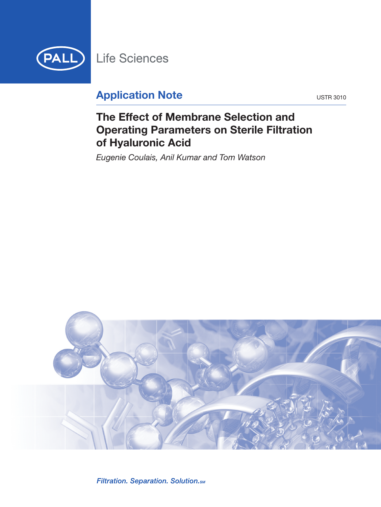

# **Application Note** USTR 3010

# **The Effect of Membrane Selection and Operating Parameters on Sterile Filtration of Hyaluronic Acid**

*Eugenie Coulais, Anil Kumar and Tom Watson*



Filtration. Separation. Solution. SM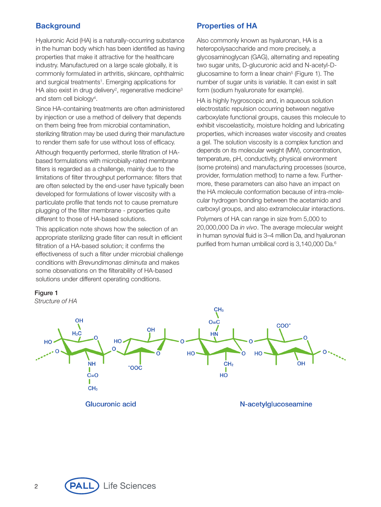## **Background**

Hyaluronic Acid (HA) is a naturally-occurring substance in the human body which has been identified as having properties that make it attractive for the healthcare industry. Manufactured on a large scale globally, it is commonly formulated in arthritis, skincare, ophthalmic and surgical treatments<sup>1</sup>. Emerging applications for HA also exist in drug delivery<sup>2</sup>, regenerative medicine<sup>3</sup> and stem cell biology<sup>4</sup>.

Since HA-containing treatments are often administered by injection or use a method of delivery that depends on them being free from microbial contamination, sterilizing filtration may be used during their manufacture to render them safe for use without loss of efficacy.

Although frequently performed, sterile filtration of HAbased formulations with microbially-rated membrane filters is regarded as a challenge, mainly due to the limitations of filter throughput performance: filters that are often selected by the end-user have typically been developed for formulations of lower viscosity with a particulate profile that tends not to cause premature plugging of the filter membrane - properties quite different to those of HA-based solutions.

This application note shows how the selection of an appropriate sterilizing grade filter can result in efficient filtration of a HA-based solution; it confirms the effectiveness of such a filter under microbial challenge conditions with Brevundimonas diminuta and makes some observations on the filterability of HA-based solutions under different operating conditions.

## **Properties of HA**

Also commonly known as hyaluronan, HA is a heteropolysaccharide and more precisely, a glycosaminoglycan (GAG), alternating and repeating two sugar units, D-glucuronic acid and N-acetyl-Dglucosamine to form a linear chain<sup>5</sup> (Figure 1). The number of sugar units is variable. It can exist in salt form (sodium hyaluronate for example).

HA is highly hygroscopic and, in aqueous solution electrostatic repulsion occurring between negative carboxylate functional groups, causes this molecule to exhibit viscoelasticity, moisture holding and lubricating properties, which increases water viscosity and creates a gel. The solution viscosity is a complex function and depends on its molecular weight (MW), concentration, temperature, pH, conductivity, physical environment (some proteins) and manufacturing processes (source, provider, formulation method) to name a few. Furthermore, these parameters can also have an impact on the HA molecule conformation because of intra-molecular hydrogen bonding between the acetamido and carboxyl groups, and also extramolecular interactions.

Polymers of HA can range in size from 5,000 to 20,000,000 Da in vivo. The average molecular weight in human synovial fluid is 3–4 million Da, and hyaluronan purified from human umbilical cord is 3,140,000 Da.<sup>6</sup>



Glucuronic acid

N-acetylglucoseamine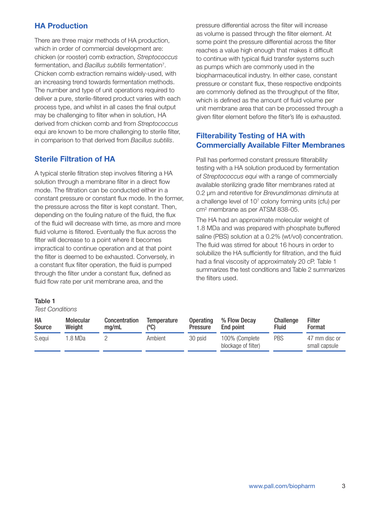# **HA Production**

There are three major methods of HA production, which in order of commercial development are: chicken (or rooster) comb extraction, Streptococcus fermentation, and Bacillus subtilis fermentation<sup>7</sup>. Chicken comb extraction remains widely-used, with an increasing trend towards fermentation methods. The number and type of unit operations required to deliver a pure, sterile-filtered product varies with each process type, and whilst in all cases the final output may be challenging to filter when in solution, HA derived from chicken comb and from Streptococcus equi are known to be more challenging to sterile filter, in comparison to that derived from Bacillus subtilis.

# **Sterile Filtration of HA**

A typical sterile filtration step involves filtering a HA solution through a membrane filter in a direct flow mode. The filtration can be conducted either in a constant pressure or constant flux mode. In the former, the pressure across the filter is kept constant. Then, depending on the fouling nature of the fluid, the flux of the fluid will decrease with time, as more and more fluid volume is filtered. Eventually the flux across the filter will decrease to a point where it becomes impractical to continue operation and at that point the filter is deemed to be exhausted. Conversely, in a constant flux filter operation, the fluid is pumped through the filter under a constant flux, defined as fluid flow rate per unit membrane area, and the

### **Table 1**

#### Test Conditions

pressure differential across the filter will increase as volume is passed through the filter element. At some point the pressure differential across the filter reaches a value high enough that makes it difficult to continue with typical fluid transfer systems such as pumps which are commonly used in the biopharmaceutical industry. In either case, constant pressure or constant flux, these respective endpoints are commonly defined as the throughput of the filter, which is defined as the amount of fluid volume per unit membrane area that can be processed through a given filter element before the filter's life is exhausted.

# **Filterability Testing of HA with Commercially Available Filter Membranes**

Pall has performed constant pressure filterability testing with a HA solution produced by fermentation of Streptococcus equi with a range of commercially available sterilizing grade filter membranes rated at 0.2 um and retentive for Brevundimonas diminuta at a challenge level of 107 colony forming units (cfu) per cm2 membrane as per ATSM 838-05.

The HA had an approximate molecular weight of 1.8 MDa and was prepared with phosphate buffered saline (PBS) solution at a 0.2% (wt/vol) concentration. The fluid was stirred for about 16 hours in order to solubilize the HA sufficiently for filtration, and the fluid had a final viscosity of approximately 20 cP. Table 1 summarizes the test conditions and Table 2 summarizes the filters used.

| НA            | <b>Molecular</b> | Concentration | Temperature | <b>Operating</b> | % Flow Decay                          | Challenge    | <b>Filter</b>                  |
|---------------|------------------|---------------|-------------|------------------|---------------------------------------|--------------|--------------------------------|
| <b>Source</b> | Weight           | ma/mL         | (°C)        | Pressure         | End point                             | <b>Fluid</b> | Format                         |
| S.eaui        | 1.8 MDa          |               | Ambient     | 30 psid          | 100% (Complete<br>blockage of filter) | PBS          | 47 mm disc or<br>small capsule |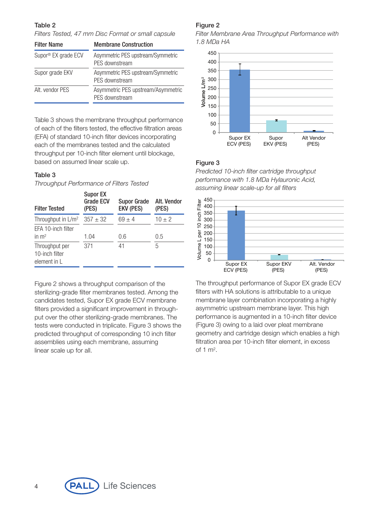### **Table 2**

Filters Tested, 47 mm Disc Format or small capsule

| <b>Filter Name</b>  | <b>Membrane Construction</b>                         |  |  |
|---------------------|------------------------------------------------------|--|--|
| Supor® EX grade ECV | Asymmetric PES upstream/Symmetric<br>PFS downstream  |  |  |
| Supor grade EKV     | Asymmetric PES upstream/Symmetric<br>PES downstream  |  |  |
| Alt. vendor PFS     | Asymmetric PES upstream/Asymmetric<br>PES downstream |  |  |

Table 3 shows the membrane throughput performance of each of the filters tested, the effective filtration areas (EFA) of standard 10-inch filter devices incorporating each of the membranes tested and the calculated throughput per 10-inch filter element until blockage, based on assumed linear scale up.

## **Table 3**

Throughput Performance of Filters Tested

| <b>Filter Tested</b>                             | <b>Supor EX</b><br><b>Grade ECV</b><br>(PES) | <b>Supor Grade</b><br><b>EKV (PES)</b> | Alt. Vendor<br>(PES) |  |
|--------------------------------------------------|----------------------------------------------|----------------------------------------|----------------------|--|
| Throughput in $L/m^2$                            | $357 \pm 32$                                 | $69 \pm 4$                             | $10 \pm 2$           |  |
| EFA 10-inch filter<br>in $m2$                    | 1.04                                         | 0.6                                    | $0.5\,$              |  |
| Throughput per<br>10-inch filter<br>element in L | 371                                          | 41                                     | 5                    |  |

Figure 2 shows a throughput comparison of the sterilizing-grade filter membranes tested. Among the candidates tested, Supor EX grade ECV membrane filters provided a significant improvement in throughput over the other sterilizing-grade membranes. The tests were conducted in triplicate. Figure 3 shows the predicted throughput of corresponding 10 inch filter assemblies using each membrane, assuming linear scale up for all.

## **Figure 2**

Filter Membrane Area Throughput Performance with 1.8 MDa HA



## **Figure 3**

Predicted 10-inch filter cartridge throughput performance with 1.8 MDa Hylauronic Acid, assuming linear scale-up for all filters



The throughput performance of Supor EX grade ECV filters with HA solutions is attributable to a unique membrane layer combination incorporating a highly asymmetric upstream membrane layer. This high performance is augmented in a 10-inch filter device (Figure 3) owing to a laid over pleat membrane geometry and cartridge design which enables a high filtration area per 10-inch filter element, in excess of  $1 \text{ m}^2$ .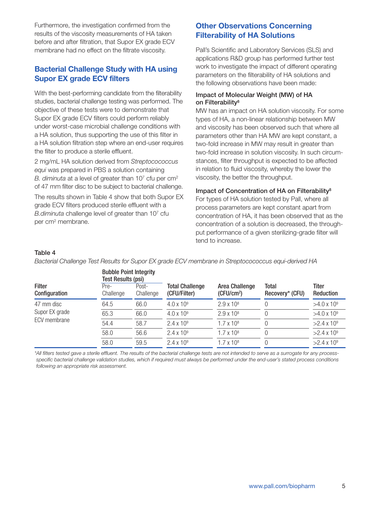Furthermore, the investigation confirmed from the results of the viscosity measurements of HA taken before and after filtration, that Supor EX grade ECV membrane had no effect on the filtrate viscosity.

## **Bacterial Challenge Study with HA using Supor EX grade ECV filters**

With the best-performing candidate from the filterability studies, bacterial challenge testing was performed. The objective of these tests were to demonstrate that Supor EX grade ECV filters could perform reliably under worst-case microbial challenge conditions with a HA solution, thus supporting the use of this filter in a HA solution filtration step where an end-user requires the filter to produce a sterile effluent.

2 mg/mL HA solution derived from Streptocococcus equi was prepared in PBS a solution containing B. diminuta at a level of greater than  $10<sup>7</sup>$  cfu per cm<sup>2</sup> of 47 mm filter disc to be subject to bacterial challenge.

The results shown in Table 4 show that both Supor EX grade ECV filters produced sterile effluent with a  $B$ .diminuta challenge level of greater than  $10<sup>7</sup>$  cfu per cm2 membrane.

# **Other Observations Concerning Filterability of HA Solutions**

Pall's Scientific and Laboratory Services (SLS) and applications R&D group has performed further test work to investigate the impact of different operating parameters on the filterability of HA solutions and the following observations have been made:

### **Impact of Molecular Weight (MW) of HA on Filterability8**

MW has an impact on HA solution viscosity. For some types of HA, a non-linear relationship between MW and viscosity has been observed such that where all parameters other than HA MW are kept constant, a two-fold increase in MW may result in greater than two-fold increase in solution viscosity. In such circumstances, filter throughput is expected to be affected in relation to fluid viscosity, whereby the lower the viscosity, the better the throughput.

#### **Impact of Concentration of HA on Filterability8**

For types of HA solution tested by Pall, where all process parameters are kept constant apart from concentration of HA, it has been observed that as the concentration of a solution is decreased, the throughput performance of a given sterilizing-grade filter will tend to increase.

#### **Table 4**

Bacterial Challenge Test Results for Supor EX grade ECV membrane in Streptocococcus equi-derived HA

|                                | <b>Bubble Point Integrity</b><br><b>Test Results (psi)</b> |                    |                                        |                                                 |                                 |                    |
|--------------------------------|------------------------------------------------------------|--------------------|----------------------------------------|-------------------------------------------------|---------------------------------|--------------------|
| <b>Filter</b><br>Configuration | Pre-<br>Challenge                                          | Post-<br>Challenge | <b>Total Challenge</b><br>(CFU/Filter) | <b>Area Challenge</b><br>(CFU/cm <sup>2</sup> ) | <b>Total</b><br>Recovery* (CFU) | Titer<br>Reduction |
| 47 mm disc                     | 64.5                                                       | 66.0               | $4.0 \times 10^{9}$                    | $2.9 \times 10^8$                               | $\Omega$                        | $>4.0 \times 10^9$ |
| Supor EX grade                 | 65.3                                                       | 66.0               | $4.0 \times 10^{9}$                    | $2.9 \times 10^8$                               | $\Omega$                        | $>4.0 \times 10^9$ |
| ECV membrane                   | 54.4                                                       | 58.7               | $2.4 \times 10^{9}$                    | $1.7 \times 10^8$                               | $\Omega$                        | $>2.4 \times 10^9$ |
|                                | 58.0                                                       | 56.6               | $2.4 \times 10^9$                      | $1.7 \times 10^8$                               | $\Omega$                        | $>2.4 \times 10^9$ |
|                                | 58.0                                                       | 59.5               | $2.4 \times 10^9$                      | $1.7 \times 10^8$                               | $\Omega$                        | $>2.4 \times 10^9$ |

\*All filters tested gave a sterile effluent. The results of the bacterial challenge tests are not intended to serve as a surrogate for any processspecific bacterial challenge validation studies, which if required must always be performed under the end-user's stated process conditions following an appropriate risk assessment.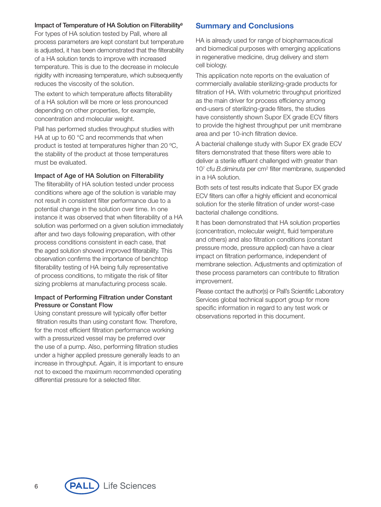#### **Impact of Temperature of HA Solution on Filterability9**

For types of HA solution tested by Pall, where all process parameters are kept constant but temperature is adjusted, it has been demonstrated that the filterability of a HA solution tends to improve with increased temperature. This is due to the decrease in molecule rigidity with increasing temperature, which subsequently reduces the viscosity of the solution.

The extent to which temperature affects filterability of a HA solution will be more or less pronounced depending on other properties, for example, concentration and molecular weight.

Pall has performed studies throughput studies with HA at up to 60 °C and recommends that when product is tested at temperatures higher than 20 ºC, the stability of the product at those temperatures must be evaluated.

#### **Impact of Age of HA Solution on Filterability**

The filterability of HA solution tested under process conditions where age of the solution is variable may not result in consistent filter performance due to a potential change in the solution over time. In one instance it was observed that when filterability of a HA solution was performed on a given solution immediately after and two days following preparation, with other process conditions consistent in each case, that the aged solution showed improved filterability. This observation confirms the importance of benchtop filterability testing of HA being fully representative of process conditions, to mitigate the risk of filter sizing problems at manufacturing process scale.

#### **Impact of Performing Filtration under Constant Pressure or Constant Flow**

Using constant pressure will typically offer better filtration results than using constant flow. Therefore, for the most efficient filtration performance working with a pressurized vessel may be preferred over the use of a pump. Also, performing filtration studies under a higher applied pressure generally leads to an increase in throughput. Again, it is important to ensure not to exceed the maximum recommended operating differential pressure for a selected filter.

## **Summary and Conclusions**

HA is already used for range of biopharmaceutical and biomedical purposes with emerging applications in regenerative medicine, drug delivery and stem cell biology.

This application note reports on the evaluation of commercially available sterilizing-grade products for filtration of HA. With volumetric throughput prioritized as the main driver for process efficiency among end-users of sterilizing-grade filters, the studies have consistently shown Supor EX grade ECV filters to provide the highest throughput per unit membrane area and per 10-inch filtration device.

A bacterial challenge study with Supor EX grade ECV filters demonstrated that these filters were able to deliver a sterile effluent challenged with greater than 107 cfu B.diminuta per cm2 filter membrane, suspended in a HA solution.

Both sets of test results indicate that Supor EX grade ECV filters can offer a highly efficient and economical solution for the sterile filtration of under worst-case bacterial challenge conditions.

It has been demonstrated that HA solution properties (concentration, molecular weight, fluid temperature and others) and also filtration conditions (constant pressure mode, pressure applied) can have a clear impact on filtration performance, independent of membrane selection. Adjustments and optimization of these process parameters can contribute to filtration improvement.

Please contact the author(s) or Pall's Scientific Laboratory Services global technical support group for more specific information in regard to any test work or observations reported in this document.